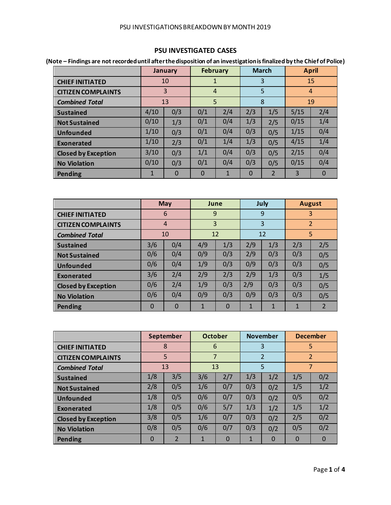## **PSU INVESTIGATED CASES**

**(Note – Findings are not recorded until after the disposition of an investigation is finalized by the Chief of Police)**

|                            |      | <b>January</b> | <b>February</b> |     |          | <b>March</b>   |      | <b>April</b>   |
|----------------------------|------|----------------|-----------------|-----|----------|----------------|------|----------------|
| <b>CHIEF INITIATED</b>     |      | 10             | 1               |     |          | 3              |      | 15             |
| <b>CITIZEN COMPLAINTS</b>  |      | 3              | $\overline{4}$  |     |          | 5              |      | $\overline{4}$ |
| <b>Combined Total</b>      |      | 13             | 5               |     |          | 8              |      | 19             |
| <b>Sustained</b>           | 4/10 | 0/3            | 0/1             | 2/4 | 2/3      | 1/5            | 5/15 | 2/4            |
| <b>Not Sustained</b>       | 0/10 | 1/3            | 0/1             | 0/4 | 1/3      | 2/5            | 0/15 | 1/4            |
| <b>Unfounded</b>           | 1/10 | 0/3            | 0/1             | 0/4 | 0/3      | 0/5            | 1/15 | 0/4            |
| Exonerated                 | 1/10 | 2/3            | 0/1             | 1/4 | 1/3      | 0/5            | 4/15 | 1/4            |
| <b>Closed by Exception</b> | 3/10 | 0/3            | 1/1             | 0/4 | 0/3      | 0/5            | 2/15 | 0/4            |
| <b>No Violation</b>        | 0/10 | 0/3            | 0/1             | 0/4 | 0/3      | 0/5            | 0/15 | 0/4            |
| <b>Pending</b>             |      | $\Omega$       | $\Omega$        | 1   | $\Omega$ | $\overline{2}$ | 3    | 0              |

|                            |          | <b>May</b>     |     | June     |              | July | <b>August</b>  |                |
|----------------------------|----------|----------------|-----|----------|--------------|------|----------------|----------------|
| <b>CHIEF INITIATED</b>     |          | 6              | 9   |          |              | 9    |                | 3              |
| <b>CITIZEN COMPLAINTS</b>  |          | $\overline{4}$ | 3   |          |              | 3    | $\overline{2}$ |                |
| <b>Combined Total</b>      |          | 10             |     | 12       |              | 12   | 5              |                |
| <b>Sustained</b>           | 3/6      | 0/4            | 4/9 | 1/3      | 2/9          | 1/3  | 2/3            | 2/5            |
| <b>Not Sustained</b>       | 0/6      | 0/4            | 0/9 | 0/3      | 2/9          | 0/3  | 0/3            | 0/5            |
| <b>Unfounded</b>           | 0/6      | 0/4            | 1/9 | 0/3      | 0/9          | 0/3  | 0/3            | 0/5            |
| Exonerated                 | 3/6      | 2/4            | 2/9 | 2/3      | 2/9          | 1/3  | 0/3            | 1/5            |
| <b>Closed by Exception</b> | 0/6      | 2/4            | 1/9 | 0/3      | 2/9          | 0/3  | 0/3            | 0/5            |
| <b>No Violation</b>        | 0/6      | 0/4            | 0/9 | 0/3      | 0/9          | 0/3  | 0/3            | 0/5            |
| <b>Pending</b>             | $\Omega$ | $\Omega$       | 1   | $\Omega$ | $\mathbf{1}$ | 1    | 1              | $\overline{2}$ |

|                            |          | September      | <b>October</b> |          |     | <b>November</b> |          | <b>December</b> |
|----------------------------|----------|----------------|----------------|----------|-----|-----------------|----------|-----------------|
| <b>CHIEF INITIATED</b>     |          | 8              | 6              |          |     | 3               |          | 5               |
| <b>CITIZEN COMPLAINTS</b>  |          | 5              | $\overline{7}$ |          |     | $\overline{2}$  |          | $\overline{2}$  |
| <b>Combined Total</b>      |          | 13             |                | 13       |     | 5               |          | $\overline{7}$  |
| <b>Sustained</b>           | 1/8      | 3/5            | 3/6            | 2/7      | 1/3 | 1/2             | 1/5      | 0/2             |
| <b>Not Sustained</b>       | 2/8      | 0/5            | 1/6            | 0/7      | 0/3 | 0/2             | 1/5      | 1/2             |
| <b>Unfounded</b>           | 1/8      | 0/5            | 0/6            | 0/7      | 0/3 | 0/2             | 0/5      | 0/2             |
| Exonerated                 | 1/8      | 0/5            | 0/6            | 5/7      | 1/3 | 1/2             | 1/5      | 1/2             |
| <b>Closed by Exception</b> | 3/8      | 0/5            | 1/6            | 0/7      | 0/3 | 0/2             | 2/5      | 0/2             |
| <b>No Violation</b>        | 0/8      | 0/5            | 0/6            | 0/7      | 0/3 | 0/2             | 0/5      | 0/2             |
| <b>Pending</b>             | $\Omega$ | $\overline{2}$ | 1              | $\Omega$ | 1   | $\Omega$        | $\Omega$ | $\Omega$        |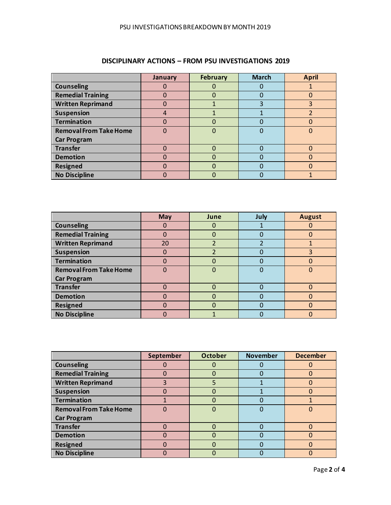|                               | <b>January</b> | <b>February</b> | <b>March</b> | <b>April</b> |
|-------------------------------|----------------|-----------------|--------------|--------------|
| <b>Counseling</b>             |                |                 |              |              |
| <b>Remedial Training</b>      |                | 0               |              | O            |
| <b>Written Reprimand</b>      |                |                 |              | 3            |
| <b>Suspension</b>             |                |                 |              |              |
| <b>Termination</b>            |                |                 |              |              |
| <b>Removal From Take Home</b> |                | 0               |              |              |
| <b>Car Program</b>            |                |                 |              |              |
| <b>Transfer</b>               |                |                 |              |              |
| <b>Demotion</b>               |                | 0               |              |              |
| <b>Resigned</b>               |                | $\Omega$        |              | O            |
| <b>No Discipline</b>          |                |                 |              |              |

## **DISCIPLINARY ACTIONS – FROM PSU INVESTIGATIONS 2019**

|                               | May      | June | July | <b>August</b> |
|-------------------------------|----------|------|------|---------------|
| <b>Counseling</b>             |          |      |      |               |
| <b>Remedial Training</b>      |          |      |      |               |
| <b>Written Reprimand</b>      | 20       | า    |      |               |
| <b>Suspension</b>             | $\Omega$ | ำ    |      | 3             |
| <b>Termination</b>            | 0        |      |      |               |
| <b>Removal From Take Home</b> | O        |      |      |               |
| <b>Car Program</b>            |          |      |      |               |
| <b>Transfer</b>               |          |      |      |               |
| <b>Demotion</b>               |          |      |      |               |
| <b>Resigned</b>               |          |      |      |               |
| <b>No Discipline</b>          |          |      |      |               |

|                               | September | <b>October</b> | <b>November</b> | <b>December</b> |
|-------------------------------|-----------|----------------|-----------------|-----------------|
| <b>Counseling</b>             |           | 0              |                 |                 |
| <b>Remedial Training</b>      |           | 0              |                 |                 |
| <b>Written Reprimand</b>      | 3         | 5              |                 |                 |
| <b>Suspension</b>             |           | 0              |                 |                 |
| <b>Termination</b>            |           | 0              |                 |                 |
| <b>Removal From Take Home</b> |           | 0              |                 |                 |
| <b>Car Program</b>            |           |                |                 |                 |
| <b>Transfer</b>               |           | 0              |                 |                 |
| <b>Demotion</b>               |           | 0              |                 |                 |
| <b>Resigned</b>               |           | 0              |                 |                 |
| <b>No Discipline</b>          |           |                |                 |                 |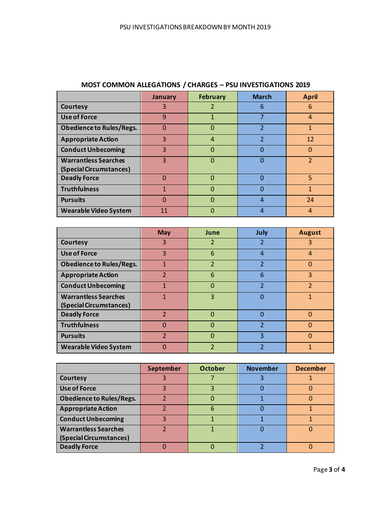|                                 | January | <b>February</b> | <b>March</b>             | <b>April</b>   |
|---------------------------------|---------|-----------------|--------------------------|----------------|
| <b>Courtesy</b>                 | 3       | 2               | 6                        | 6              |
| <b>Use of Force</b>             | 9       |                 |                          | $\overline{4}$ |
| <b>Obedience to Rules/Regs.</b> | n       | 0               | 2                        |                |
| <b>Appropriate Action</b>       | 3       | $\overline{4}$  | $\overline{\phantom{a}}$ | 12             |
| <b>Conduct Unbecoming</b>       | 3       | Ω               |                          |                |
| <b>Warrantless Searches</b>     | 3       | 0               |                          |                |
| (Special Circumstances)         |         |                 |                          |                |
| <b>Deadly Force</b>             | Ω       | 0               |                          | 5              |
| <b>Truthfulness</b>             |         | n               |                          |                |
| <b>Pursuits</b>                 |         | ი               | 4                        | 24             |
| <b>Wearable Video System</b>    | 11      |                 |                          | 4              |

## **MOST COMMON ALLEGATIONS / CHARGES – PSU INVESTIGATIONS 2019**

|                                                        | <b>May</b>     | June           | July           | <b>August</b>  |
|--------------------------------------------------------|----------------|----------------|----------------|----------------|
| Courtesy                                               | 3              | 2              | 2              | 3              |
| <b>Use of Force</b>                                    | 3              | 6              | 4              | $\overline{4}$ |
| <b>Obedience to Rules/Regs.</b>                        |                | $\overline{2}$ | $\overline{2}$ | 0              |
| <b>Appropriate Action</b>                              | $\overline{2}$ | 6              | 6              | 3              |
| <b>Conduct Unbecoming</b>                              |                | $\Omega$       | $\mathcal{P}$  | $\mathcal{P}$  |
| <b>Warrantless Searches</b><br>(Special Circumstances) | 1              | 3              |                | 1              |
| <b>Deadly Force</b>                                    | $\mathcal{P}$  | 0              |                |                |
| <b>Truthfulness</b>                                    | O              | O              | フ              |                |
| <b>Pursuits</b>                                        | $\mathcal{P}$  | O              | २              | n              |
| <b>Wearable Video System</b>                           | O              | $\overline{2}$ | 2              |                |

|                                 | September | <b>October</b> | <b>November</b> | <b>December</b> |
|---------------------------------|-----------|----------------|-----------------|-----------------|
| <b>Courtesy</b>                 |           |                |                 |                 |
| <b>Use of Force</b>             |           |                |                 |                 |
| <b>Obedience to Rules/Regs.</b> |           |                |                 |                 |
| <b>Appropriate Action</b>       |           |                |                 |                 |
| <b>Conduct Unbecoming</b>       |           |                |                 |                 |
| <b>Warrantless Searches</b>     |           |                |                 |                 |
| (Special Circumstances)         |           |                |                 |                 |
| <b>Deadly Force</b>             |           |                |                 |                 |